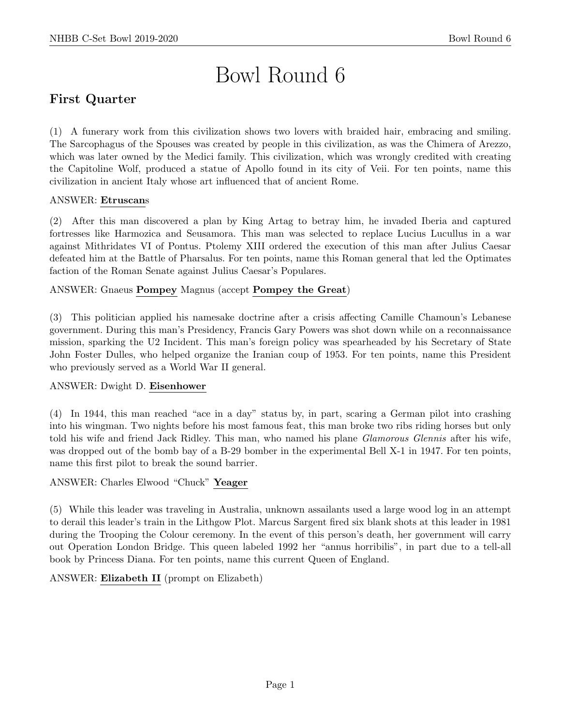# Bowl Round 6

# First Quarter

(1) A funerary work from this civilization shows two lovers with braided hair, embracing and smiling. The Sarcophagus of the Spouses was created by people in this civilization, as was the Chimera of Arezzo, which was later owned by the Medici family. This civilization, which was wrongly credited with creating the Capitoline Wolf, produced a statue of Apollo found in its city of Veii. For ten points, name this civilization in ancient Italy whose art influenced that of ancient Rome.

# ANSWER: Etruscans

(2) After this man discovered a plan by King Artag to betray him, he invaded Iberia and captured fortresses like Harmozica and Seusamora. This man was selected to replace Lucius Lucullus in a war against Mithridates VI of Pontus. Ptolemy XIII ordered the execution of this man after Julius Caesar defeated him at the Battle of Pharsalus. For ten points, name this Roman general that led the Optimates faction of the Roman Senate against Julius Caesar's Populares.

# ANSWER: Gnaeus Pompey Magnus (accept Pompey the Great)

(3) This politician applied his namesake doctrine after a crisis affecting Camille Chamoun's Lebanese government. During this man's Presidency, Francis Gary Powers was shot down while on a reconnaissance mission, sparking the U2 Incident. This man's foreign policy was spearheaded by his Secretary of State John Foster Dulles, who helped organize the Iranian coup of 1953. For ten points, name this President who previously served as a World War II general.

# ANSWER: Dwight D. Eisenhower

(4) In 1944, this man reached "ace in a day" status by, in part, scaring a German pilot into crashing into his wingman. Two nights before his most famous feat, this man broke two ribs riding horses but only told his wife and friend Jack Ridley. This man, who named his plane Glamorous Glennis after his wife, was dropped out of the bomb bay of a B-29 bomber in the experimental Bell X-1 in 1947. For ten points, name this first pilot to break the sound barrier.

#### ANSWER: Charles Elwood "Chuck" Yeager

(5) While this leader was traveling in Australia, unknown assailants used a large wood log in an attempt to derail this leader's train in the Lithgow Plot. Marcus Sargent fired six blank shots at this leader in 1981 during the Trooping the Colour ceremony. In the event of this person's death, her government will carry out Operation London Bridge. This queen labeled 1992 her "annus horribilis", in part due to a tell-all book by Princess Diana. For ten points, name this current Queen of England.

ANSWER: Elizabeth II (prompt on Elizabeth)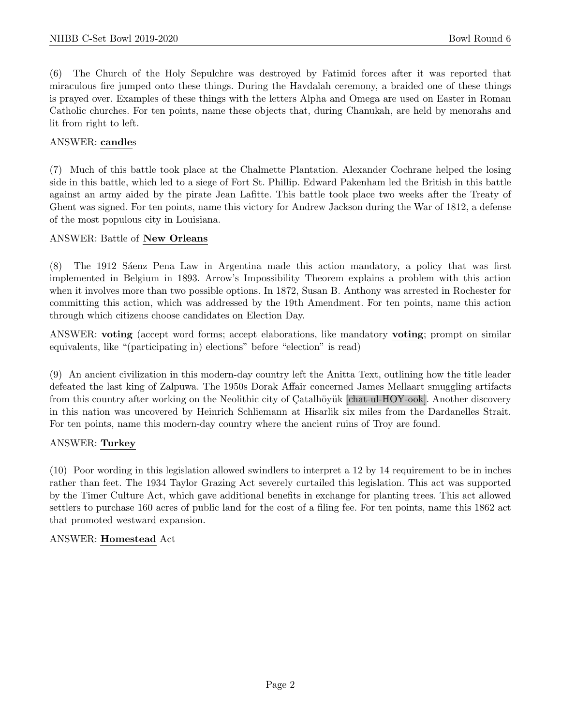(6) The Church of the Holy Sepulchre was destroyed by Fatimid forces after it was reported that miraculous fire jumped onto these things. During the Havdalah ceremony, a braided one of these things is prayed over. Examples of these things with the letters Alpha and Omega are used on Easter in Roman Catholic churches. For ten points, name these objects that, during Chanukah, are held by menorahs and lit from right to left.

#### ANSWER: candles

(7) Much of this battle took place at the Chalmette Plantation. Alexander Cochrane helped the losing side in this battle, which led to a siege of Fort St. Phillip. Edward Pakenham led the British in this battle against an army aided by the pirate Jean Lafitte. This battle took place two weeks after the Treaty of Ghent was signed. For ten points, name this victory for Andrew Jackson during the War of 1812, a defense of the most populous city in Louisiana.

#### ANSWER: Battle of New Orleans

The 1912 Saenz Pena Law in Argentina made this action mandatory, a policy that was first implemented in Belgium in 1893. Arrow's Impossibility Theorem explains a problem with this action when it involves more than two possible options. In 1872, Susan B. Anthony was arrested in Rochester for committing this action, which was addressed by the 19th Amendment. For ten points, name this action through which citizens choose candidates on Election Day.

ANSWER: voting (accept word forms; accept elaborations, like mandatory voting; prompt on similar equivalents, like "(participating in) elections" before "election" is read)

(9) An ancient civilization in this modern-day country left the Anitta Text, outlining how the title leader defeated the last king of Zalpuwa. The 1950s Dorak Affair concerned James Mellaart smuggling artifacts from this country after working on the Neolithic city of Catalhövük [chat-ul-HOY-ook]. Another discovery in this nation was uncovered by Heinrich Schliemann at Hisarlik six miles from the Dardanelles Strait. For ten points, name this modern-day country where the ancient ruins of Troy are found.

#### ANSWER: Turkey

(10) Poor wording in this legislation allowed swindlers to interpret a 12 by 14 requirement to be in inches rather than feet. The 1934 Taylor Grazing Act severely curtailed this legislation. This act was supported by the Timer Culture Act, which gave additional benefits in exchange for planting trees. This act allowed settlers to purchase 160 acres of public land for the cost of a filing fee. For ten points, name this 1862 act that promoted westward expansion.

#### ANSWER: Homestead Act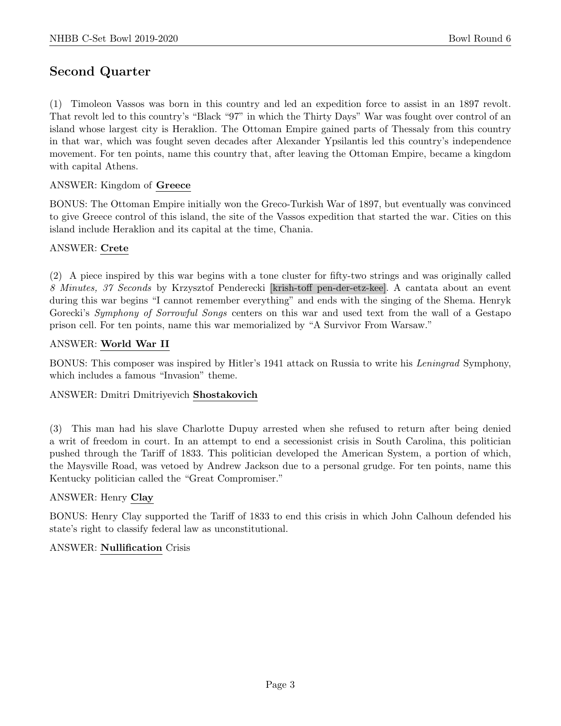# Second Quarter

(1) Timoleon Vassos was born in this country and led an expedition force to assist in an 1897 revolt. That revolt led to this country's "Black "97" in which the Thirty Days" War was fought over control of an island whose largest city is Heraklion. The Ottoman Empire gained parts of Thessaly from this country in that war, which was fought seven decades after Alexander Ypsilantis led this country's independence movement. For ten points, name this country that, after leaving the Ottoman Empire, became a kingdom with capital Athens.

# ANSWER: Kingdom of Greece

BONUS: The Ottoman Empire initially won the Greco-Turkish War of 1897, but eventually was convinced to give Greece control of this island, the site of the Vassos expedition that started the war. Cities on this island include Heraklion and its capital at the time, Chania.

#### ANSWER: Crete

(2) A piece inspired by this war begins with a tone cluster for fifty-two strings and was originally called 8 Minutes, 37 Seconds by Krzysztof Penderecki [krish-toff pen-der-etz-kee]. A cantata about an event during this war begins "I cannot remember everything" and ends with the singing of the Shema. Henryk Gorecki's *Symphony of Sorrowful Songs* centers on this war and used text from the wall of a Gestapo prison cell. For ten points, name this war memorialized by "A Survivor From Warsaw."

#### ANSWER: World War II

BONUS: This composer was inspired by Hitler's 1941 attack on Russia to write his Leningrad Symphony, which includes a famous "Invasion" theme.

#### ANSWER: Dmitri Dmitriyevich Shostakovich

(3) This man had his slave Charlotte Dupuy arrested when she refused to return after being denied a writ of freedom in court. In an attempt to end a secessionist crisis in South Carolina, this politician pushed through the Tariff of 1833. This politician developed the American System, a portion of which, the Maysville Road, was vetoed by Andrew Jackson due to a personal grudge. For ten points, name this Kentucky politician called the "Great Compromiser."

#### ANSWER: Henry Clay

BONUS: Henry Clay supported the Tariff of 1833 to end this crisis in which John Calhoun defended his state's right to classify federal law as unconstitutional.

#### ANSWER: Nullification Crisis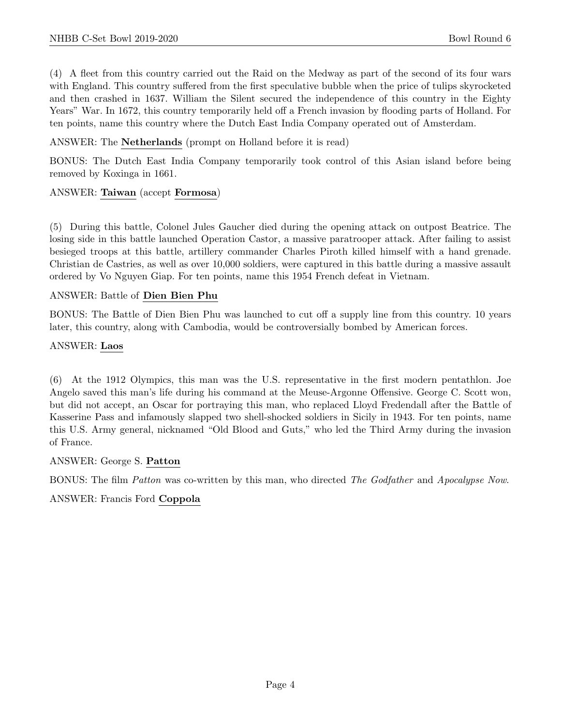(4) A fleet from this country carried out the Raid on the Medway as part of the second of its four wars with England. This country suffered from the first speculative bubble when the price of tulips skyrocketed and then crashed in 1637. William the Silent secured the independence of this country in the Eighty Years" War. In 1672, this country temporarily held off a French invasion by flooding parts of Holland. For ten points, name this country where the Dutch East India Company operated out of Amsterdam.

#### ANSWER: The Netherlands (prompt on Holland before it is read)

BONUS: The Dutch East India Company temporarily took control of this Asian island before being removed by Koxinga in 1661.

# ANSWER: Taiwan (accept Formosa)

(5) During this battle, Colonel Jules Gaucher died during the opening attack on outpost Beatrice. The losing side in this battle launched Operation Castor, a massive paratrooper attack. After failing to assist besieged troops at this battle, artillery commander Charles Piroth killed himself with a hand grenade. Christian de Castries, as well as over 10,000 soldiers, were captured in this battle during a massive assault ordered by Vo Nguyen Giap. For ten points, name this 1954 French defeat in Vietnam.

#### ANSWER: Battle of Dien Bien Phu

BONUS: The Battle of Dien Bien Phu was launched to cut off a supply line from this country. 10 years later, this country, along with Cambodia, would be controversially bombed by American forces.

#### ANSWER: Laos

(6) At the 1912 Olympics, this man was the U.S. representative in the first modern pentathlon. Joe Angelo saved this man's life during his command at the Meuse-Argonne Offensive. George C. Scott won, but did not accept, an Oscar for portraying this man, who replaced Lloyd Fredendall after the Battle of Kasserine Pass and infamously slapped two shell-shocked soldiers in Sicily in 1943. For ten points, name this U.S. Army general, nicknamed "Old Blood and Guts," who led the Third Army during the invasion of France.

#### ANSWER: George S. Patton

BONUS: The film Patton was co-written by this man, who directed The Godfather and Apocalypse Now.

ANSWER: Francis Ford Coppola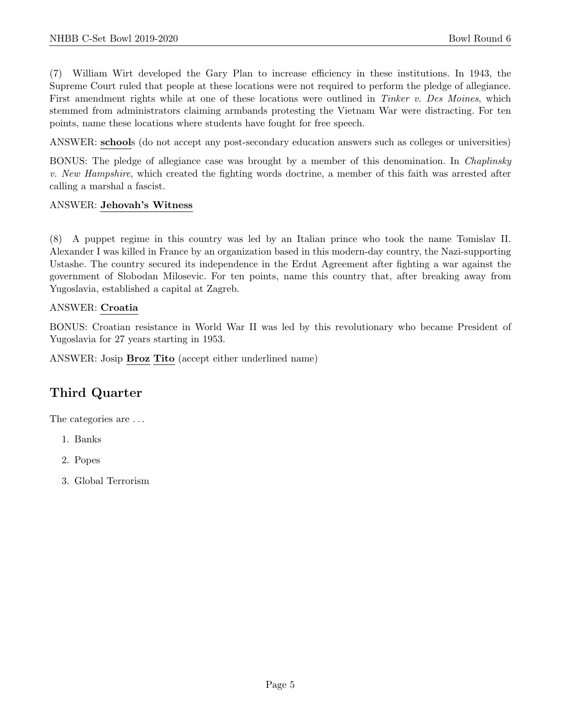(7) William Wirt developed the Gary Plan to increase efficiency in these institutions. In 1943, the Supreme Court ruled that people at these locations were not required to perform the pledge of allegiance. First amendment rights while at one of these locations were outlined in Tinker v. Des Moines, which stemmed from administrators claiming armbands protesting the Vietnam War were distracting. For ten points, name these locations where students have fought for free speech.

ANSWER: schools (do not accept any post-secondary education answers such as colleges or universities)

BONUS: The pledge of allegiance case was brought by a member of this denomination. In Chaplinsky v. New Hampshire, which created the fighting words doctrine, a member of this faith was arrested after calling a marshal a fascist.

#### ANSWER: Jehovah's Witness

(8) A puppet regime in this country was led by an Italian prince who took the name Tomislav II. Alexander I was killed in France by an organization based in this modern-day country, the Nazi-supporting Ustashe. The country secured its independence in the Erdut Agreement after fighting a war against the government of Slobodan Milosevic. For ten points, name this country that, after breaking away from Yugoslavia, established a capital at Zagreb.

#### ANSWER: Croatia

BONUS: Croatian resistance in World War II was led by this revolutionary who became President of Yugoslavia for 27 years starting in 1953.

ANSWER: Josip Broz Tito (accept either underlined name)

# Third Quarter

The categories are . . .

- 1. Banks
- 2. Popes
- 3. Global Terrorism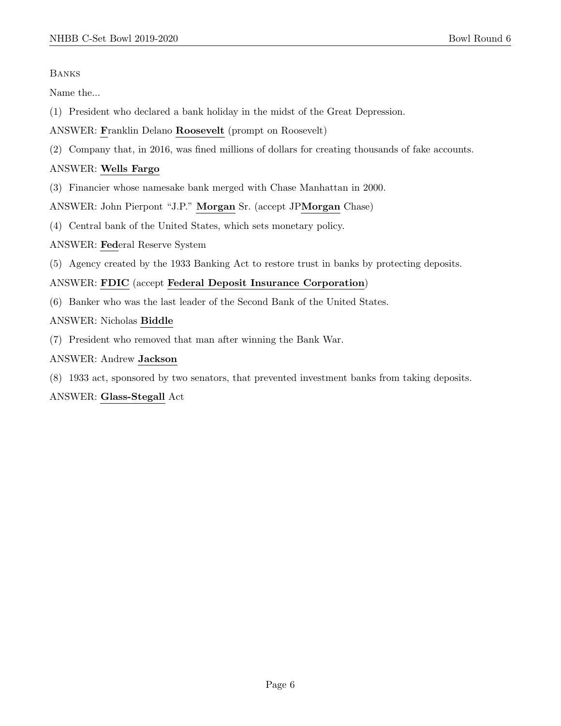#### Banks

Name the...

- (1) President who declared a bank holiday in the midst of the Great Depression.
- ANSWER: Franklin Delano Roosevelt (prompt on Roosevelt)
- (2) Company that, in 2016, was fined millions of dollars for creating thousands of fake accounts.

#### ANSWER: Wells Fargo

(3) Financier whose namesake bank merged with Chase Manhattan in 2000.

ANSWER: John Pierpont "J.P." Morgan Sr. (accept JPMorgan Chase)

(4) Central bank of the United States, which sets monetary policy.

ANSWER: Federal Reserve System

(5) Agency created by the 1933 Banking Act to restore trust in banks by protecting deposits.

#### ANSWER: FDIC (accept Federal Deposit Insurance Corporation)

(6) Banker who was the last leader of the Second Bank of the United States.

#### ANSWER: Nicholas Biddle

(7) President who removed that man after winning the Bank War.

#### ANSWER: Andrew Jackson

(8) 1933 act, sponsored by two senators, that prevented investment banks from taking deposits.

#### ANSWER: Glass-Stegall Act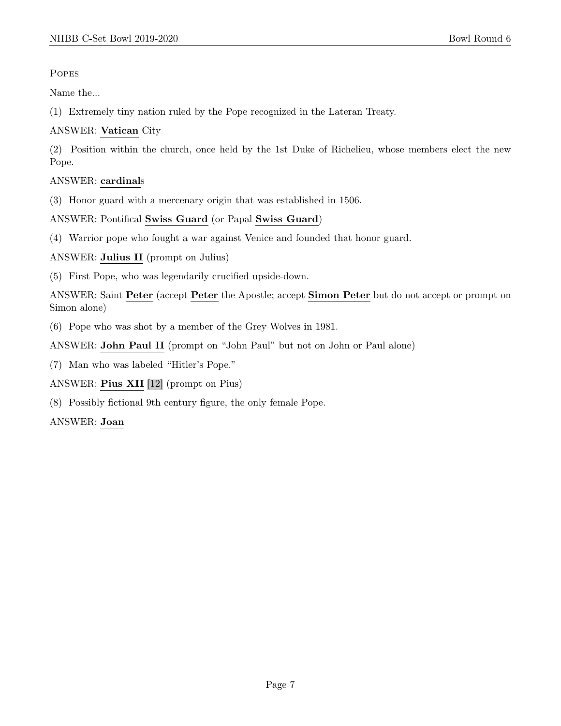**POPES** 

Name the...

(1) Extremely tiny nation ruled by the Pope recognized in the Lateran Treaty.

# ANSWER: Vatican City

(2) Position within the church, once held by the 1st Duke of Richelieu, whose members elect the new Pope.

# ANSWER: cardinals

(3) Honor guard with a mercenary origin that was established in 1506.

ANSWER: Pontifical Swiss Guard (or Papal Swiss Guard)

(4) Warrior pope who fought a war against Venice and founded that honor guard.

ANSWER: Julius II (prompt on Julius)

(5) First Pope, who was legendarily crucified upside-down.

ANSWER: Saint Peter (accept Peter the Apostle; accept Simon Peter but do not accept or prompt on Simon alone)

(6) Pope who was shot by a member of the Grey Wolves in 1981.

ANSWER: John Paul II (prompt on "John Paul" but not on John or Paul alone)

(7) Man who was labeled "Hitler's Pope."

ANSWER: Pius XII [12] (prompt on Pius)

(8) Possibly fictional 9th century figure, the only female Pope.

ANSWER: Joan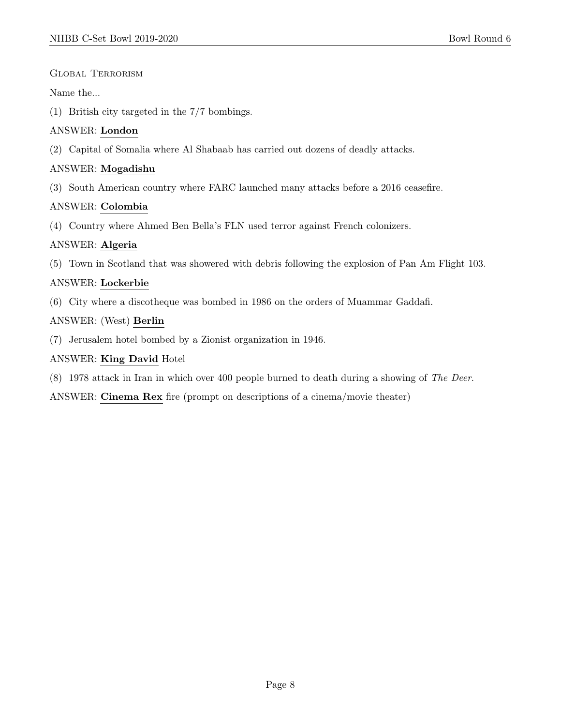#### Global Terrorism

#### Name the...

(1) British city targeted in the 7/7 bombings.

#### ANSWER: London

(2) Capital of Somalia where Al Shabaab has carried out dozens of deadly attacks.

### ANSWER: Mogadishu

(3) South American country where FARC launched many attacks before a 2016 ceasefire.

# ANSWER: Colombia

(4) Country where Ahmed Ben Bella's FLN used terror against French colonizers.

# ANSWER: Algeria

(5) Town in Scotland that was showered with debris following the explosion of Pan Am Flight 103.

# ANSWER: Lockerbie

(6) City where a discotheque was bombed in 1986 on the orders of Muammar Gaddafi.

# ANSWER: (West) Berlin

(7) Jerusalem hotel bombed by a Zionist organization in 1946.

# ANSWER: King David Hotel

(8) 1978 attack in Iran in which over 400 people burned to death during a showing of The Deer.

ANSWER: Cinema Rex fire (prompt on descriptions of a cinema/movie theater)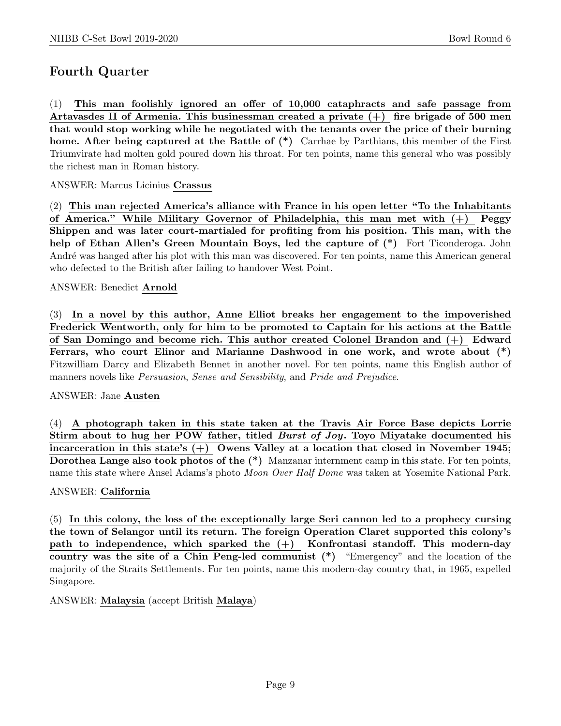# Fourth Quarter

(1) This man foolishly ignored an offer of 10,000 cataphracts and safe passage from Artavasdes II of Armenia. This businessman created a private  $(+)$  fire brigade of 500 men that would stop working while he negotiated with the tenants over the price of their burning home. After being captured at the Battle of  $(*)$  Carrhae by Parthians, this member of the First Triumvirate had molten gold poured down his throat. For ten points, name this general who was possibly the richest man in Roman history.

ANSWER: Marcus Licinius Crassus

(2) This man rejected America's alliance with France in his open letter "To the Inhabitants of America." While Military Governor of Philadelphia, this man met with (+) Peggy Shippen and was later court-martialed for profiting from his position. This man, with the help of Ethan Allen's Green Mountain Boys, led the capture of  $(*)$  Fort Ticonderoga. John André was hanged after his plot with this man was discovered. For ten points, name this American general who defected to the British after failing to handover West Point.

#### ANSWER: Benedict Arnold

(3) In a novel by this author, Anne Elliot breaks her engagement to the impoverished Frederick Wentworth, only for him to be promoted to Captain for his actions at the Battle of San Domingo and become rich. This author created Colonel Brandon and (+) Edward Ferrars, who court Elinor and Marianne Dashwood in one work, and wrote about (\*) Fitzwilliam Darcy and Elizabeth Bennet in another novel. For ten points, name this English author of manners novels like Persuasion, Sense and Sensibility, and Pride and Prejudice.

#### ANSWER: Jane Austen

(4) A photograph taken in this state taken at the Travis Air Force Base depicts Lorrie Stirm about to hug her POW father, titled Burst of Joy. Toyo Miyatake documented his incarceration in this state's  $(+)$  Owens Valley at a location that closed in November 1945; Dorothea Lange also took photos of the (\*) Manzanar internment camp in this state. For ten points, name this state where Ansel Adams's photo *Moon Over Half Dome* was taken at Yosemite National Park.

#### ANSWER: California

(5) In this colony, the loss of the exceptionally large Seri cannon led to a prophecy cursing the town of Selangor until its return. The foreign Operation Claret supported this colony's path to independence, which sparked the  $(+)$  Konfrontasi standoff. This modern-day country was the site of a Chin Peng-led communist (\*) "Emergency" and the location of the majority of the Straits Settlements. For ten points, name this modern-day country that, in 1965, expelled Singapore.

ANSWER: Malaysia (accept British Malaya)